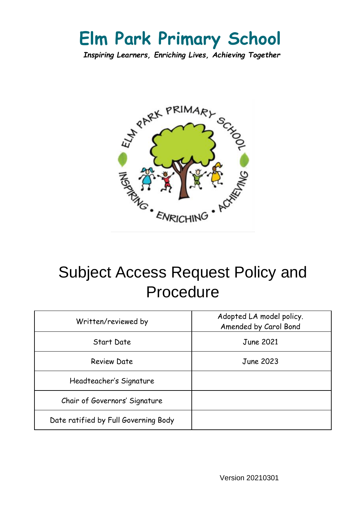# **Elm Park Primary School**

*Inspiring Learners, Enriching Lives, Achieving Together*



# Subject Access Request Policy and Procedure

| Written/reviewed by                  | Adopted LA model policy.<br>Amended by Carol Bond |
|--------------------------------------|---------------------------------------------------|
| Start Date                           | <b>June 2021</b>                                  |
| <b>Review Date</b>                   | June 2023                                         |
| Headteacher's Signature              |                                                   |
| Chair of Governors' Signature        |                                                   |
| Date ratified by Full Governing Body |                                                   |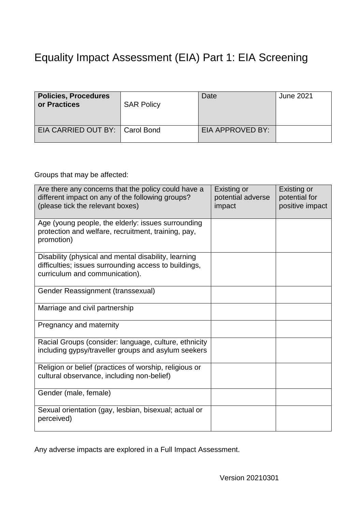## Equality Impact Assessment (EIA) Part 1: EIA Screening

| <b>Policies, Procedures</b><br>or Practices | <b>SAR Policy</b> | Date             | June 2021 |
|---------------------------------------------|-------------------|------------------|-----------|
| EIA CARRIED OUT BY:   Carol Bond            |                   | EIA APPROVED BY: |           |

Groups that may be affected:

| Are there any concerns that the policy could have a<br>different impact on any of the following groups?<br>(please tick the relevant boxes)     | Existing or<br>potential adverse<br>impact | Existing or<br>potential for<br>positive impact |
|-------------------------------------------------------------------------------------------------------------------------------------------------|--------------------------------------------|-------------------------------------------------|
| Age (young people, the elderly: issues surrounding<br>protection and welfare, recruitment, training, pay,<br>promotion)                         |                                            |                                                 |
| Disability (physical and mental disability, learning<br>difficulties; issues surrounding access to buildings,<br>curriculum and communication). |                                            |                                                 |
| Gender Reassignment (transsexual)                                                                                                               |                                            |                                                 |
| Marriage and civil partnership                                                                                                                  |                                            |                                                 |
| Pregnancy and maternity                                                                                                                         |                                            |                                                 |
| Racial Groups (consider: language, culture, ethnicity<br>including gypsy/traveller groups and asylum seekers                                    |                                            |                                                 |
| Religion or belief (practices of worship, religious or<br>cultural observance, including non-belief)                                            |                                            |                                                 |
| Gender (male, female)                                                                                                                           |                                            |                                                 |
| Sexual orientation (gay, lesbian, bisexual; actual or<br>perceived)                                                                             |                                            |                                                 |

Any adverse impacts are explored in a Full Impact Assessment.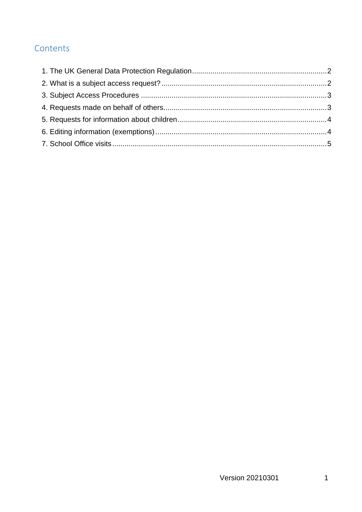#### Contents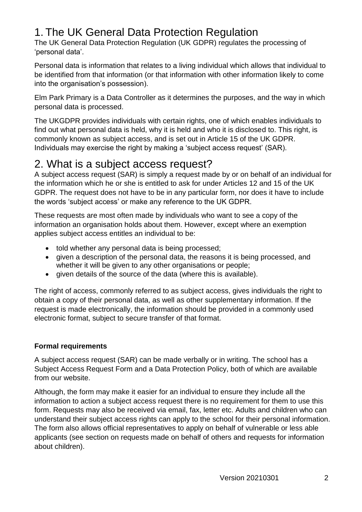### <span id="page-3-0"></span>1. The UK General Data Protection Regulation

The UK General Data Protection Regulation (UK GDPR) regulates the processing of 'personal data'.

Personal data is information that relates to a living individual which allows that individual to be identified from that information (or that information with other information likely to come into the organisation's possession).

Elm Park Primary is a Data Controller as it determines the purposes, and the way in which personal data is processed.

The UKGDPR provides individuals with certain rights, one of which enables individuals to find out what personal data is held, why it is held and who it is disclosed to. This right, is commonly known as subject access, and is set out in Article 15 of the UK GDPR. Individuals may exercise the right by making a 'subject access request' (SAR).

### <span id="page-3-1"></span>2. What is a subject access request?

A subject access request (SAR) is simply a request made by or on behalf of an individual for the information which he or she is entitled to ask for under Articles 12 and 15 of the UK GDPR. The request does not have to be in any particular form, nor does it have to include the words 'subject access' or make any reference to the UK GDPR.

These requests are most often made by individuals who want to see a copy of the information an organisation holds about them. However, except where an exemption applies subject access entitles an individual to be:

- told whether any personal data is being processed;
- given a description of the personal data, the reasons it is being processed, and whether it will be given to any other organisations or people;
- given details of the source of the data (where this is available).

The right of access, commonly referred to as subject access, gives individuals the right to obtain a copy of their personal data, as well as other supplementary information. If the request is made electronically, the information should be provided in a commonly used electronic format, subject to secure transfer of that format.

#### **Formal requirements**

A subject access request (SAR) can be made verbally or in writing. The school has a Subject Access Request Form and a Data Protection Policy, both of which are available from our website.

Although, the form may make it easier for an individual to ensure they include all the information to action a subject access request there is no requirement for them to use this form. Requests may also be received via email, fax, letter etc. Adults and children who can understand their subject access rights can apply to the school for their personal information. The form also allows official representatives to apply on behalf of vulnerable or less able applicants (see section on requests made on behalf of others and requests for information about children).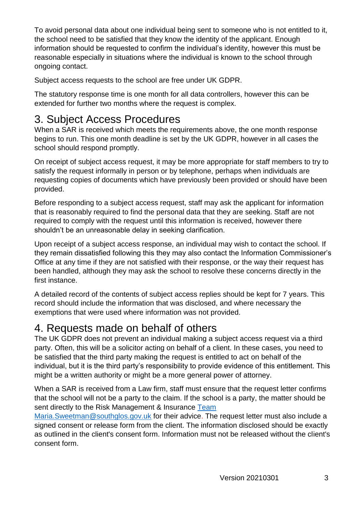To avoid personal data about one individual being sent to someone who is not entitled to it, the school need to be satisfied that they know the identity of the applicant. Enough information should be requested to confirm the individual's identity, however this must be reasonable especially in situations where the individual is known to the school through ongoing contact.

Subject access requests to the school are free under UK GDPR.

The statutory response time is one month for all data controllers, however this can be extended for further two months where the request is complex.

## <span id="page-4-0"></span>3. Subject Access Procedures

When a SAR is received which meets the requirements above, the one month response begins to run. This one month deadline is set by the UK GDPR, however in all cases the school should respond promptly.

On receipt of subject access request, it may be more appropriate for staff members to try to satisfy the request informally in person or by telephone, perhaps when individuals are requesting copies of documents which have previously been provided or should have been provided.

Before responding to a subject access request, staff may ask the applicant for information that is reasonably required to find the personal data that they are seeking. Staff are not required to comply with the request until this information is received, however there shouldn't be an unreasonable delay in seeking clarification.

Upon receipt of a subject access response, an individual may wish to contact the school. If they remain dissatisfied following this they may also contact the Information Commissioner's Office at any time if they are not satisfied with their response, or the way their request has been handled, although they may ask the school to resolve these concerns directly in the first instance.

A detailed record of the contents of subject access replies should be kept for 7 years. This record should include the information that was disclosed, and where necessary the exemptions that were used where information was not provided.

## <span id="page-4-1"></span>4. Requests made on behalf of others

The UK GDPR does not prevent an individual making a subject access request via a third party. Often, this will be a solicitor acting on behalf of a client. In these cases, you need to be satisfied that the third party making the request is entitled to act on behalf of the individual, but it is the third party's responsibility to provide evidence of this entitlement. This might be a written authority or might be a more general power of attorney.

When a SAR is received from a Law firm, staff must ensure that the request letter confirms that the school will not be a party to the claim. If the school is a party, the matter should be sent directly to the Risk Management & Insurance [Team](mailto:Team%20Maria.Sweetman@southglos.gov.uk) 

[Maria.Sweetman@southglos.gov.uk](mailto:Team%20Maria.Sweetman@southglos.gov.uk) for their advice. The request letter must also include a signed consent or release form from the client. The information disclosed should be exactly as outlined in the client's consent form. Information must not be released without the client's consent form.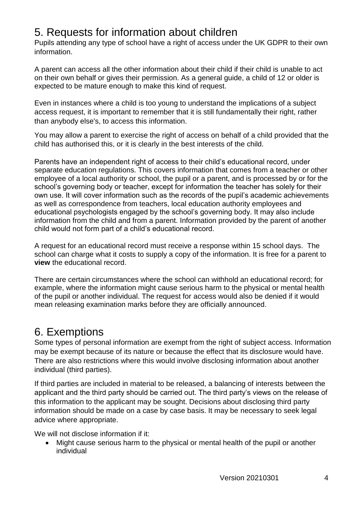### <span id="page-5-0"></span>5. Requests for information about children

Pupils attending any type of school have a right of access under the UK GDPR to their own information.

A parent can access all the other information about their child if their child is unable to act on their own behalf or gives their permission. As a general guide, a child of 12 or older is expected to be mature enough to make this kind of request.

Even in instances where a child is too young to understand the implications of a subject access request, it is important to remember that it is still fundamentally their right, rather than anybody else's, to access this information.

You may allow a parent to exercise the right of access on behalf of a child provided that the child has authorised this, or it is clearly in the best interests of the child.

Parents have an independent right of access to their child's educational record, under separate education regulations. This covers information that comes from a teacher or other employee of a local authority or school, the pupil or a parent, and is processed by or for the school's governing body or teacher, except for information the teacher has solely for their own use. It will cover information such as the records of the pupil's academic achievements as well as correspondence from teachers, local education authority employees and educational psychologists engaged by the school's governing body. It may also include information from the child and from a parent. Information provided by the parent of another child would not form part of a child's educational record.

A request for an educational record must receive a response within 15 school days. The school can charge what it costs to supply a copy of the information. It is free for a parent to **view** the educational record.

There are certain circumstances where the school can withhold an educational record; for example, where the information might cause serious harm to the physical or mental health of the pupil or another individual. The request for access would also be denied if it would mean releasing examination marks before they are officially announced.

### <span id="page-5-1"></span>6. Exemptions

Some types of personal information are exempt from the right of subject access. Information may be exempt because of its nature or because the effect that its disclosure would have. There are also restrictions where this would involve disclosing information about another individual (third parties).

If third parties are included in material to be released, a balancing of interests between the applicant and the third party should be carried out. The third party's views on the release of this information to the applicant may be sought. Decisions about disclosing third party information should be made on a case by case basis. It may be necessary to seek legal advice where appropriate.

We will not disclose information if it:

 Might cause serious harm to the physical or mental health of the pupil or another individual